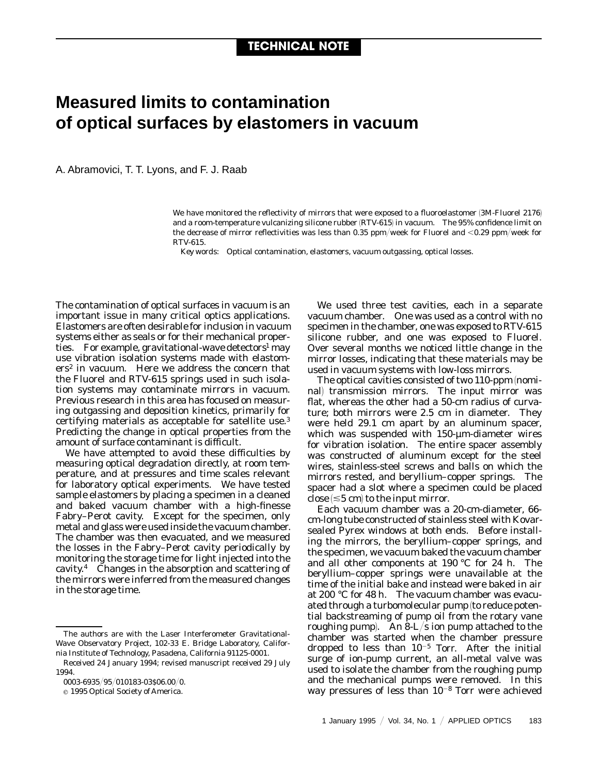## **Measured limits to contamination of optical surfaces by elastomers in vacuum**

A. Abramovici, T. T. Lyons, and F. J. Raab

We have monitored the reflectivity of mirrors that were exposed to a fluoroelastomer (3M-Fluorel 2176) and a room-temperature vulcanizing silicone rubber (RTV-615) in vacuum. The 95% confidence limit on the decrease of mirror reflectivities was less than 0.35 ppm/week for Fluorel and  $\langle 0.29$  ppm/week for RTV-615.

*Key words:* Optical contamination, elastomers, vacuum outgassing, optical losses.

The contamination of optical surfaces in vacuum is an important issue in many critical optics applications. Elastomers are often desirable for inclusion in vacuum systems either as seals or for their mechanical properties. For example, gravitational-wave detectors<sup>1</sup> may use vibration isolation systems made with elastomers<sup>2</sup> in vacuum. Here we address the concern that the Fluorel and RTV-615 springs used in such isolation systems may contaminate mirrors in vacuum. Previous research in this area has focused on measuring outgassing and deposition kinetics, primarily for certifying materials as acceptable for satellite use.3 Predicting the change in optical properties from the amount of surface contaminant is difficult.

We have attempted to avoid these difficulties by measuring optical degradation directly, at room temperature, and at pressures and time scales relevant for laboratory optical experiments. We have tested sample elastomers by placing a specimen in a cleaned and baked vacuum chamber with a high-finesse Fabry–Perot cavity. Except for the specimen, only metal and glass were used inside the vacuum chamber. The chamber was then evacuated, and we measured the losses in the Fabry–Perot cavity periodically by monitoring the storage time for light injected into the cavity.4 Changes in the absorption and scattering of the mirrors were inferred from the measured changes in the storage time.

We used three test cavities, each in a separate vacuum chamber. One was used as a control with no specimen in the chamber, one was exposed to RTV-615 silicone rubber, and one was exposed to Fluorel. Over several months we noticed little change in the mirror losses, indicating that these materials may be used in vacuum systems with low-loss mirrors.

The optical cavities consisted of two  $110$ -ppm (nominal) transmission mirrors. The input mirror was flat, whereas the other had a 50-cm radius of curvature; both mirrors were 2.5 cm in diameter. They were held 29.1 cm apart by an aluminum spacer, which was suspended with  $150$ - $\mu$ m-diameter wires for vibration isolation. The entire spacer assembly was constructed of aluminum except for the steel wires, stainless-steel screws and balls on which the mirrors rested, and beryllium–copper springs. The spacer had a slot where a specimen could be placed close  $(\leq 5$  cm $)$  to the input mirror.

Each vacuum chamber was a 20-cm-diameter, 66 cm-long tube constructed of stainless steel with Kovarsealed Pyrex windows at both ends. Before installing the mirrors, the beryllium–copper springs, and the specimen, we vacuum baked the vacuum chamber and all other components at 190 °C for 24 h. The beryllium–copper springs were unavailable at the time of the initial bake and instead were baked in air at 200 °C for 48 h. The vacuum chamber was evacuated through a turbomolecular pump (to reduce potential backstreaming of pump oil from the rotary vane roughing pump). An  $8-L/s$  ion pump attached to the chamber was started when the chamber pressure dropped to less than  $10^{-5}$  Torr. After the initial surge of ion-pump current, an all-metal valve was used to isolate the chamber from the roughing pump and the mechanical pumps were removed. In this way pressures of less than  $10^{-8}$  Torr were achieved

The authors are with the Laser Interferometer Gravitational-Wave Observatory Project, 102-33 E. Bridge Laboratory, California Institute of Technology, Pasadena, California 91125-0001.

Received 24 January 1994; revised manuscript received 29 July 1994.

<sup>0003-6935/95/010183-03\$06.00/0.</sup> 

 $© 1995 Optical Society of America.$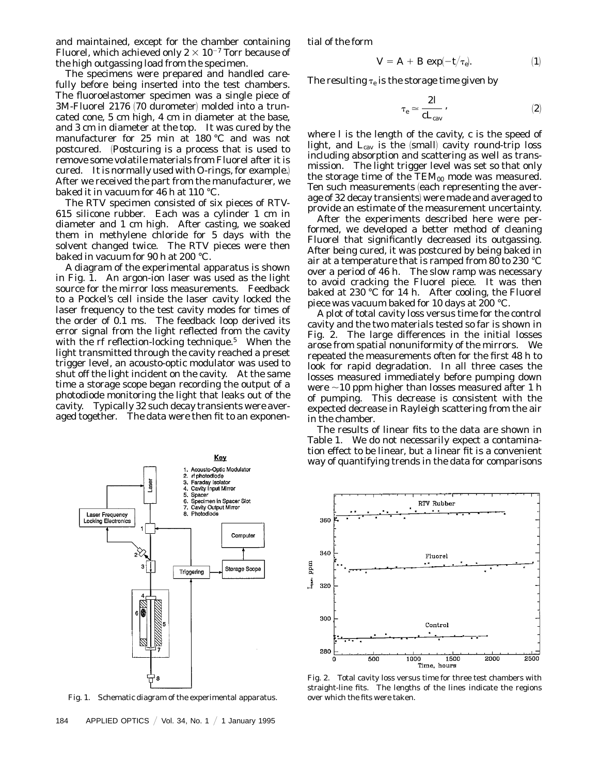and maintained, except for the chamber containing Fluorel, which achieved only  $2 \times 10^{-7}$  Torr because of the high outgassing load from the specimen.

The specimens were prepared and handled carefully before being inserted into the test chambers. The fluoroelastomer specimen was a single piece of 3M-Fluorel 2176 (70 durometer) molded into a truncated cone, 5 cm high, 4 cm in diameter at the base, and 3 cm in diameter at the top. It was cured by the manufacturer for 25 min at 180 °C and was not postcured. 1Postcuring is a process that is used to remove some volatile materials from Fluorel after it is cured. It is normally used with O-rings, for example.) After we received the part from the manufacturer, we baked it in vacuum for 46 h at 110 °C.

The RTV specimen consisted of six pieces of RTV-615 silicone rubber. Each was a cylinder 1 cm in diameter and 1 cm high. After casting, we soaked them in methylene chloride for 5 days with the solvent changed twice. The RTV pieces were then baked in vacuum for 90 h at 200 °C.

A diagram of the experimental apparatus is shown in Fig. 1. An argon-ion laser was used as the light source for the mirror loss measurements. Feedback to a Pockel's cell inside the laser cavity locked the laser frequency to the test cavity modes for times of the order of 0.1 ms. The feedback loop derived its error signal from the light reflected from the cavity with the rf reflection-locking technique.<sup>5</sup> When the light transmitted through the cavity reached a preset trigger level, an acousto-optic modulator was used to shut off the light incident on the cavity. At the same time a storage scope began recording the output of a photodiode monitoring the light that leaks out of the cavity. Typically 32 such decay transients were averaged together. The data were then fit to an exponen-



Fig. 1. Schematic diagram of the experimental apparatus.

tial of the form

$$
V = A + B \exp(-t/\tau_e). \tag{1}
$$

The resulting  $\tau_e$  is the storage time given by

$$
\tau_e \simeq \frac{2I}{cL_{\rm cav}}\,,\eqno(2)
$$

where *l* is the length of the cavity, *c* is the speed of light, and  $L_{\text{cav}}$  is the (small) cavity round-trip loss including absorption and scattering as well as transmission. The light trigger level was set so that only the storage time of the  $TEM_{00}$  mode was measured. Ten such measurements (each representing the average of 32 decay transients) were made and averaged to provide an estimate of the measurement uncertainty.

After the experiments described here were performed, we developed a better method of cleaning Fluorel that significantly decreased its outgassing. After being cured, it was postcured by being baked in air at a temperature that is ramped from 80 to 230 °C over a period of 46 h. The slow ramp was necessary to avoid cracking the Fluorel piece. It was then baked at 230 °C for 14 h. After cooling, the Fluorel piece was vacuum baked for 10 days at 200 °C.

A plot of total cavity loss versus time for the control cavity and the two materials tested so far is shown in Fig. 2. The large differences in the initial losses arose from spatial nonuniformity of the mirrors. We repeated the measurements often for the first 48 h to look for rapid degradation. In all three cases the losses measured immediately before pumping down were  $\sim$ 10 ppm higher than losses measured after 1 h of pumping. This decrease is consistent with the expected decrease in Rayleigh scattering from the air in the chamber.

The results of linear fits to the data are shown in Table 1. We do not necessarily expect a contamination effect to be linear, but a linear fit is a convenient way of quantifying trends in the data for comparisons



Fig. 2. Total cavity loss versus time for three test chambers with straight-line fits. The lengths of the lines indicate the regions over which the fits were taken.